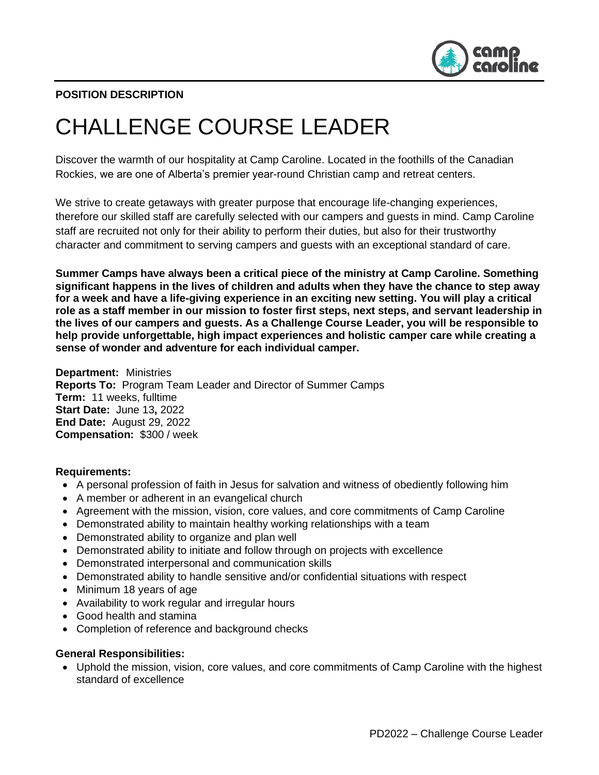

# **POSITION DESCRIPTION**

# CHALLENGE COURSE LEADER

Discover the warmth of our hospitality at Camp Caroline. Located in the foothills of the Canadian Rockies, we are one of Alberta's premier year-round Christian camp and retreat centers.

We strive to create getaways with greater purpose that encourage life-changing experiences, therefore our skilled staff are carefully selected with our campers and guests in mind. Camp Caroline staff are recruited not only for their ability to perform their duties, but also for their trustworthy character and commitment to serving campers and guests with an exceptional standard of care.

**Summer Camps have always been a critical piece of the ministry at Camp Caroline. Something significant happens in the lives of children and adults when they have the chance to step away for a week and have a life-giving experience in an exciting new setting. You will play a critical role as a staff member in our mission to foster first steps, next steps, and servant leadership in the lives of our campers and guests. As a Challenge Course Leader, you will be responsible to help provide unforgettable, high impact experiences and holistic camper care while creating a sense of wonder and adventure for each individual camper.**

**Department:** Ministries **Reports To:** Program Team Leader and Director of Summer Camps **Term:** 11 weeks, fulltime **Start Date:** June 13**,** 2022 **End Date:** August 29, 2022 **Compensation:** \$300 / week

#### **Requirements:**

- A personal profession of faith in Jesus for salvation and witness of obediently following him
- A member or adherent in an evangelical church
- Agreement with the mission, vision, core values, and core commitments of Camp Caroline
- Demonstrated ability to maintain healthy working relationships with a team
- Demonstrated ability to organize and plan well
- Demonstrated ability to initiate and follow through on projects with excellence
- Demonstrated interpersonal and communication skills
- Demonstrated ability to handle sensitive and/or confidential situations with respect
- Minimum 18 years of age
- Availability to work regular and irregular hours
- Good health and stamina
- Completion of reference and background checks

#### **General Responsibilities:**

• Uphold the mission, vision, core values, and core commitments of Camp Caroline with the highest standard of excellence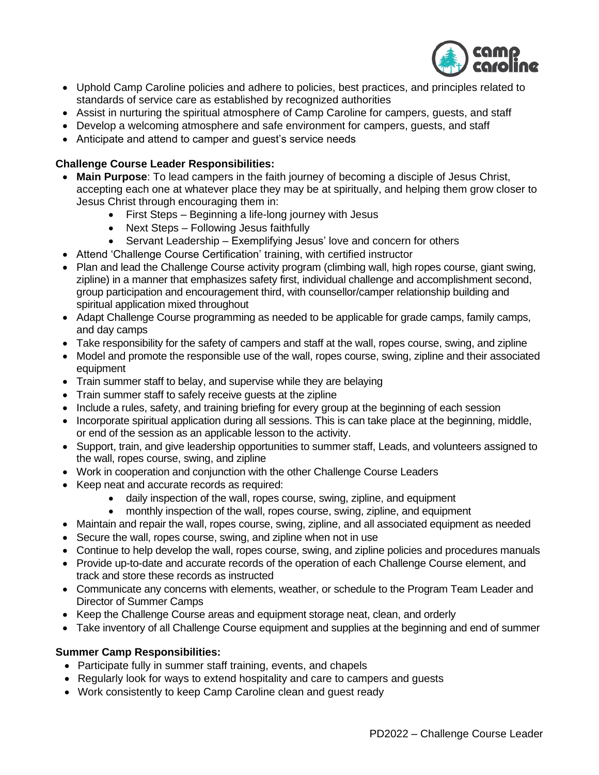

- Uphold Camp Caroline policies and adhere to policies, best practices, and principles related to standards of service care as established by recognized authorities
- Assist in nurturing the spiritual atmosphere of Camp Caroline for campers, guests, and staff
- Develop a welcoming atmosphere and safe environment for campers, guests, and staff
- Anticipate and attend to camper and guest's service needs

## **Challenge Course Leader Responsibilities:**

- **Main Purpose**: To lead campers in the faith journey of becoming a disciple of Jesus Christ, accepting each one at whatever place they may be at spiritually, and helping them grow closer to Jesus Christ through encouraging them in:
	- First Steps Beginning a life-long journey with Jesus
	- Next Steps Following Jesus faithfully
	- Servant Leadership Exemplifying Jesus' love and concern for others
- Attend 'Challenge Course Certification' training, with certified instructor
- Plan and lead the Challenge Course activity program (climbing wall, high ropes course, giant swing, zipline) in a manner that emphasizes safety first, individual challenge and accomplishment second, group participation and encouragement third, with counsellor/camper relationship building and spiritual application mixed throughout
- Adapt Challenge Course programming as needed to be applicable for grade camps, family camps, and day camps
- Take responsibility for the safety of campers and staff at the wall, ropes course, swing, and zipline
- Model and promote the responsible use of the wall, ropes course, swing, zipline and their associated equipment
- Train summer staff to belay, and supervise while they are belaying
- Train summer staff to safely receive guests at the zipline
- Include a rules, safety, and training briefing for every group at the beginning of each session
- Incorporate spiritual application during all sessions. This is can take place at the beginning, middle, or end of the session as an applicable lesson to the activity.
- Support, train, and give leadership opportunities to summer staff, Leads, and volunteers assigned to the wall, ropes course, swing, and zipline
- Work in cooperation and conjunction with the other Challenge Course Leaders
- Keep neat and accurate records as required:
	- daily inspection of the wall, ropes course, swing, zipline, and equipment
	- monthly inspection of the wall, ropes course, swing, zipline, and equipment
- Maintain and repair the wall, ropes course, swing, zipline, and all associated equipment as needed
- Secure the wall, ropes course, swing, and zipline when not in use
- Continue to help develop the wall, ropes course, swing, and zipline policies and procedures manuals
- Provide up-to-date and accurate records of the operation of each Challenge Course element, and track and store these records as instructed
- Communicate any concerns with elements, weather, or schedule to the Program Team Leader and Director of Summer Camps
- Keep the Challenge Course areas and equipment storage neat, clean, and orderly
- Take inventory of all Challenge Course equipment and supplies at the beginning and end of summer

## **Summer Camp Responsibilities:**

- Participate fully in summer staff training, events, and chapels
- Regularly look for ways to extend hospitality and care to campers and guests
- Work consistently to keep Camp Caroline clean and guest ready